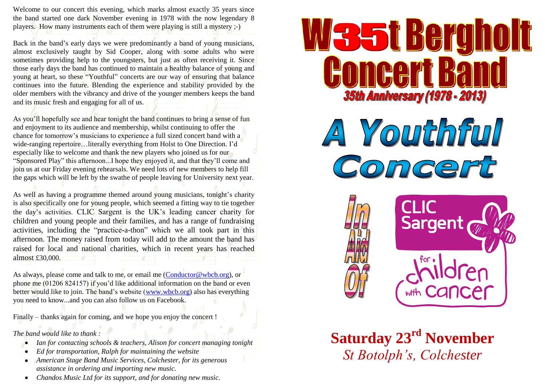Welcome to our concert this evening, which marks almost exactly 35 years since the band started one dark November evening in 1978 with the now legendary 8 players. How many instruments each of them were playing is still a mystery ;-)

Back in the band's early days we were predominantly a band of young musicians, almost exclusively taught by Sid Cooper, along with some adults who were sometimes providing help to the youngsters, but just as often receiving it. Since those early days the band has continued to maintain a healthy balance of young and young at heart, so these "Youthful" concerts are our way of ensuring that balance continues into the future. Blending the experience and stability provided by the older members with the vibrancy and drive of the younger members keeps the band and its music fresh and engaging for all of us.

As you'll hopefully see and hear tonight the band continues to bring a sense of fun and enjoyment to its audience and membership, whilst continuing to offer the chance for tomorrow's musicians to experience a full sized concert band with a wide-ranging repertoire…literally everything from Holst to One Direction. I'd especially like to welcome and thank the new players who joined us for our "Sponsored Play" this afternoon...I hope they enjoyed it, and that they'll come and join us at our Friday evening rehearsals. We need lots of new members to help fill the gaps which will be left by the swathe of people leaving for University next year.

As well as having a programme themed around young musicians, tonight's charity is also specifically one for young people, which seemed a fitting way to tie together the day's activities. CLIC Sargent is the UK's leading cancer charity for children and young people and their families, and has a range of fundraising activities, including the "practice-a-thon" which we all took part in this afternoon. The money raised from today will add to the amount the band has raised for local and national charities, which in recent years has reached almost £30,000.

As always, please come and talk to me, or email me [\(Conductor@wbcb.org\)](mailto:Conductor@wbcb.org), or phone me (01206 824157) if you'd like additional information on the band or even better would like to join. The band's website [\(www.wbcb.org\)](http://www.wbcb.org/) also has everything you need to know...and you can also follow us on Facebook.

Finally – thanks again for coming, and we hope you enjoy the concert !

*The band would like to thank :*

- *Ian for contacting schools & teachers, Alison for concert managing tonight*
- *Ed for transportation, Ralph for maintaining the website*  $\bullet$
- *American Stage Band Music Services, Colchester, for its generous assistance in ordering and importing new music.*
- *Chandos Music Ltd for its support, and for donating new music.*

# N35t Berg **35th Anniversary (1978 - 2013)**

A Youthful nce



**Saturday 23<sup>rd</sup> November** *St Botolph's, Colchester*